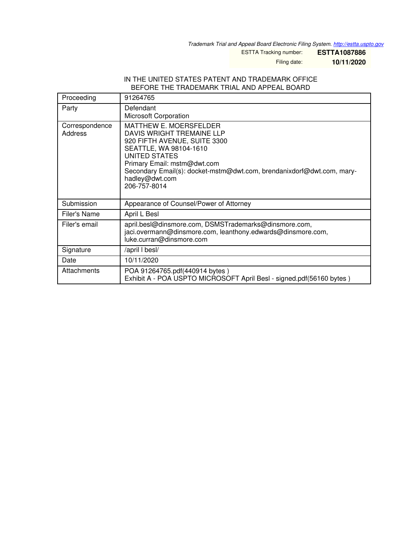*Trademark Trial and Appeal Board Electronic Filing System. <http://estta.uspto.gov>*

ESTTA Tracking number: **ESTTA1087886**

Filing date: **10/11/2020**

#### IN THE UNITED STATES PATENT AND TRADEMARK OFFICE BEFORE THE TRADEMARK TRIAL AND APPEAL BOARD

| Proceeding                | 91264765                                                                                                                                                                                                                                                                               |
|---------------------------|----------------------------------------------------------------------------------------------------------------------------------------------------------------------------------------------------------------------------------------------------------------------------------------|
| Party                     | Defendant<br>Microsoft Corporation                                                                                                                                                                                                                                                     |
| Correspondence<br>Address | <b>MATTHEW E. MOERSFELDER</b><br>DAVIS WRIGHT TREMAINE LLP<br>920 FIFTH AVENUE, SUITE 3300<br>SEATTLE, WA 98104-1610<br><b>UNITED STATES</b><br>Primary Email: mstm@dwt.com<br>Secondary Email(s): docket-mstm@dwt.com, brendanixdorf@dwt.com, mary-<br>hadley@dwt.com<br>206-757-8014 |
| Submission                | Appearance of Counsel/Power of Attorney                                                                                                                                                                                                                                                |
| Filer's Name              | April L Besl                                                                                                                                                                                                                                                                           |
| Filer's email             | april.besl@dinsmore.com, DSMSTrademarks@dinsmore.com,<br>jaci.overmann@dinsmore.com, leanthony.edwards@dinsmore.com,<br>luke.curran@dinsmore.com                                                                                                                                       |
| Signature                 | /april I besl/                                                                                                                                                                                                                                                                         |
| Date                      | 10/11/2020                                                                                                                                                                                                                                                                             |
| Attachments               | POA 91264765.pdf(440914 bytes)<br>Exhibit A - POA USPTO MICROSOFT April Besl - signed.pdf(56160 bytes)                                                                                                                                                                                 |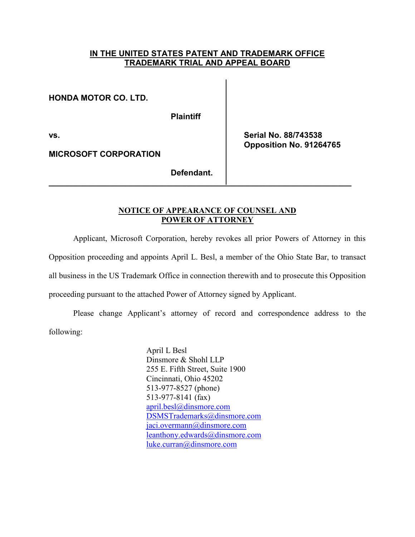# **IN THE UNITED STATES PATENT AND TRADEMARK OFFICE TRADEMARK TRIAL AND APPEAL BOARD**

**HONDA MOTOR CO. LTD.** 

**Plaintiff** 

**MICROSOFT CORPORATION** 

**vs. Serial No. 88/743538 Opposition No. 91264765** 

**Defendant.** 

**\_\_\_\_\_\_\_\_\_\_\_\_\_\_\_\_\_\_\_\_\_\_\_\_\_\_\_\_\_\_\_\_\_\_\_\_\_\_\_\_\_\_\_\_\_\_\_\_\_\_\_\_\_\_\_\_\_\_\_\_\_\_\_\_\_\_\_** 

# **NOTICE OF APPEARANCE OF COUNSEL AND POWER OF ATTORNEY**

 Applicant, Microsoft Corporation, hereby revokes all prior Powers of Attorney in this Opposition proceeding and appoints April L. Besl, a member of the Ohio State Bar, to transact all business in the US Trademark Office in connection therewith and to prosecute this Opposition

proceeding pursuant to the attached Power of Attorney signed by Applicant.

 Please change Applicant's attorney of record and correspondence address to the following:

> April L Besl Dinsmore & Shohl LLP 255 E. Fifth Street, Suite 1900 Cincinnati, Ohio 45202 513-977-8527 (phone) 513-977-8141 (fax) [april.besl@dinsmore.com](mailto:april.besl@dinsmore.com)  [DSMSTrademarks@dinsmore.com](mailto:DSMSTrademarks@dinsmore.com) [jaci.overmann@dinsmore.com](mailto:jaci.overmann@dinsmore.com)  [leanthony.edwards@dinsmore.com](mailto:leanthony.edwards@dinsmore.com)  [luke.curran@dinsmore.com](mailto:luke.curran@dinsmore.com)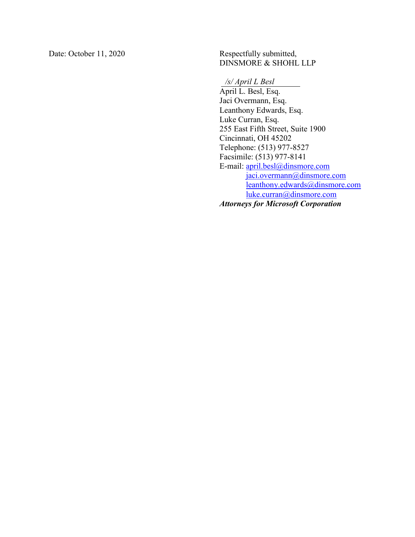Date: October 11, 2020 Respectfully submitted,

DINSMORE & SHOHL LLP

*/s/ April L Besl* 

 April L. Besl, Esq. Jaci Overmann, Esq. Leanthony Edwards, Esq. Luke Curran, Esq. 255 East Fifth Street, Suite 1900 Cincinnati, OH 45202 Telephone: (513) 977-8527 Facsimile: (513) 977-8141 E-mail: [april.besl@dinsmore.com](mailto:april.besl@dinsmore.com) [jaci.overmann@dinsmore.com](mailto:jaci.overmann@dinsmore.com)  [leanthony.edwards@dinsmore.com](mailto:leanthony.edwards@dinsmore.com)  luke.curran@dinsmore.com *Attorneys for Microsoft Corporation*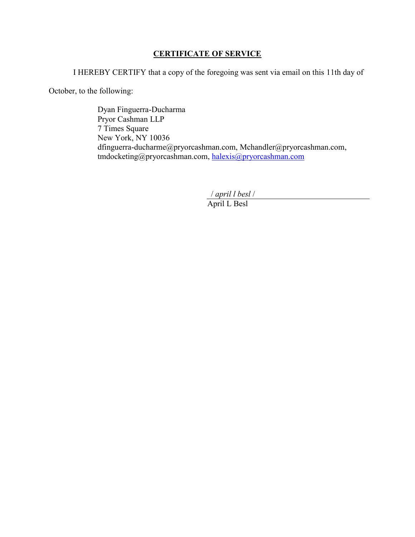# **CERTIFICATE OF SERVICE**

I HEREBY CERTIFY that a copy of the foregoing was sent via email on this 11th day of

October, to the following:

 Dyan Finguerra-Ducharma Pryor Cashman LLP 7 Times Square New York, NY 10036 dfinguerra-ducharme@pryorcashman.com, Mchandler@pryorcashman.com, tmdocketing@pryorcashman.com, [halexis@pryorcashman.com](mailto:halexis@pryorcashman.com)

/ *april l besl* /

April L Besl